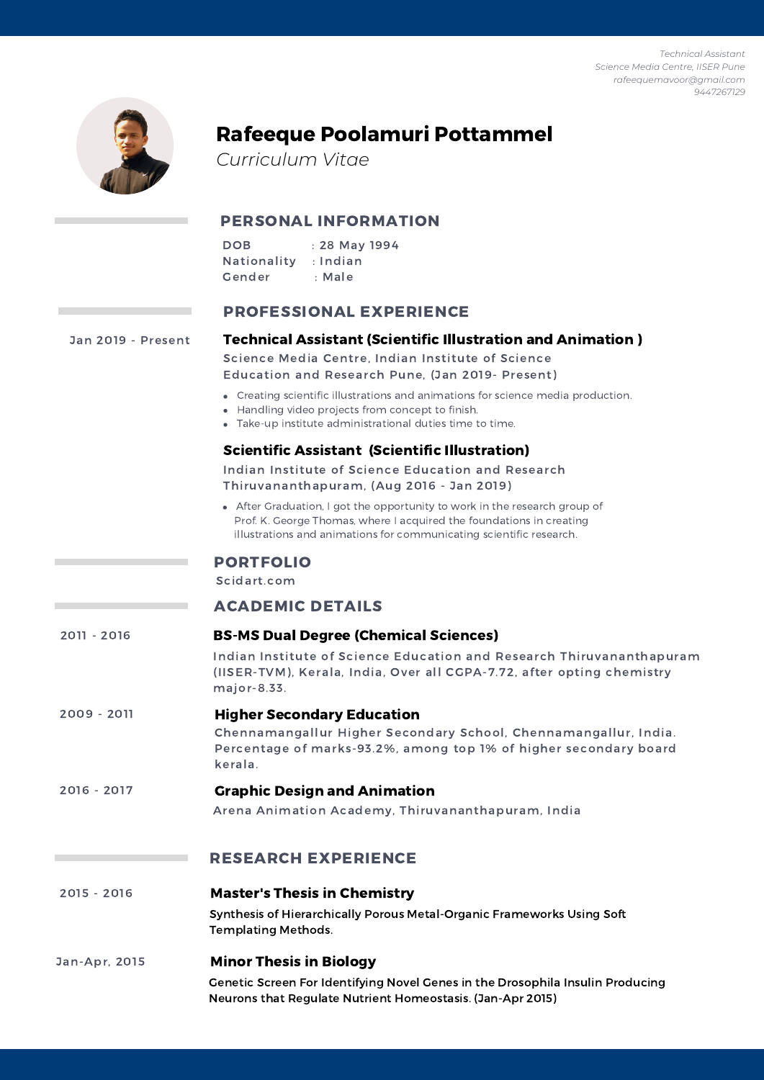*Technical Assistant Science Media Centre, IISER Pune rafeequemavoor@gmail.com 9447267129*



# Rafeeque Poolamuri Pottammel

*Curriculum Vitae*

# PERSONAL INFORMATION

| <b>DOB</b>  | : 28 May 1994 |
|-------------|---------------|
| Nationality | : Indian      |
| Gender      | : Male        |

## PROFESSIONAL EXPERIENCE

Technical Assistant (Scientific Illustration and Animation ) Creating scientific illustrations and animations for science media production. Handling video projects from concept to finish. Take-up institute administrational duties time to time. Science Media Centre, Indian Institute of Science Education and Research Pune, (Jan 2019- Present) Scientific Assistant (Scientific Illustration) After Graduation, I got the opportunity to work in the research group of Prof. K. George Thomas, where I acquired the foundations in creating illustrations and animations for communicating scientific research. Indian Institute of Science Education and Research Thiruvananthapuram, (Aug 2016 - Jan 2019) ACADEMIC DETAILS BS-MS Dual Degree (Chemical Sciences) Indian Institute of Science Education and Research Thiruvananthapuram (IISER-TVM), Kerala, India, Over all CGPA-7.72, after opting chemistry major-8.33. Higher Secondary Education Chennamangallur Higher Secondary School, Chennamangallur, India. Percentage of marks-93.2%, among top 1% of higher secondary board kerala. Jan 2019 - Present 2011 - 2016 2009 - 2011 Graphic Design and Animation Arena Animation Academy, Thiruvananthapuram, India 2016 - 2017 RESEARCH EXPERIENCE Synthesis of Hierarchically Porous Metal-Organic Frameworks Using Soft Templating Methods. 2015 - 2016 Master's Thesis in Chemistry Minor Thesis in Biology Genetic Screen For Identifying Novel Genes in the Drosophila Insulin Producing Neurons that Regulate Nutrient Homeostasis. (Jan-Apr 2015) Jan-Apr, 2015 PORTFOLIO Scidart.com